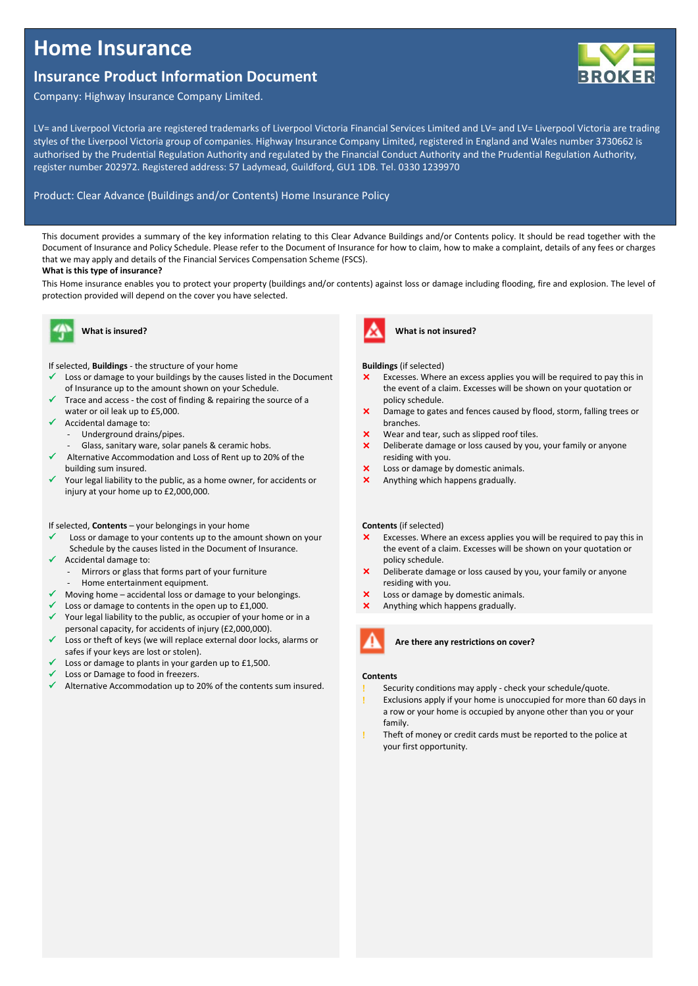# **Home Insurance**

# **Insurance Product Information Document**

**ROKER** 

Company: Highway Insurance Company Limited.

LV= and Liverpool Victoria are registered trademarks of Liverpool Victoria Financial Services Limited and LV= and LV= Liverpool Victoria are trading styles of the Liverpool Victoria group of companies. Highway Insurance Company Limited, registered in England and Wales number 3730662 is authorised by the Prudential Regulation Authority and regulated by the Financial Conduct Authority and the Prudential Regulation Authority, register number 202972. Registered address: 57 Ladymead, Guildford, GU1 1DB. Tel. 0330 1239970

# Product: Clear Advance (Buildings and/or Contents) Home Insurance Policy

This document provides a summary of the key information relating to this Clear Advance Buildings and/or Contents policy. It should be read together with the Document of Insurance and Policy Schedule. Please refer to the Document of Insurance for how to claim, how to make a complaint, details of any fees or charges that we may apply and details of the Financial Services Compensation Scheme (FSCS).

# **What is this type of insurance?**

This Home insurance enables you to protect your property (buildings and/or contents) against loss or damage including flooding, fire and explosion. The level of protection provided will depend on the cover you have selected.

ļ

# **What is insured?**

If selected, **Buildings** - the structure of your home

- Loss or damage to your buildings by the causes listed in the Document of Insurance up to the amount shown on your Schedule.
- Trace and access the cost of finding & repairing the source of a water or oil leak up to £5,000.
- $\checkmark$  Accidental damage to:
	- Underground drains/pipes.
	- Glass, sanitary ware, solar panels & ceramic hobs.
- Alternative Accommodation and Loss of Rent up to 20% of the building sum insured.
- Your legal liability to the public, as a home owner, for accidents or injury at your home up to £2,000,000.

# If selected, **Contents** – your belongings in your home

- Loss or damage to your contents up to the amount shown on your Schedule by the causes listed in the Document of Insurance.
- Accidental damage to: Mirrors or glass that forms part of your furniture
- Home entertainment equipment.
- $\checkmark$  Moving home accidental loss or damage to your belongings.
- Loss or damage to contents in the open up to £1,000.
- Your legal liability to the public, as occupier of your home or in a personal capacity, for accidents of injury (£2,000,000).
- Loss or theft of keys (we will replace external door locks, alarms or safes if your keys are lost or stolen).
- Loss or damage to plants in your garden up to £1,500.
- Loss or Damage to food in freezers.
- $\checkmark$  Alternative Accommodation up to 20% of the contents sum insured.



**Buildings** (if selected)

- Excesses. Where an excess applies you will be required to pay this in the event of a claim. Excesses will be shown on your quotation or policy schedule.
- Damage to gates and fences caused by flood, storm, falling trees or branches.
- Wear and tear, such as slipped roof tiles.
- X Deliberate damage or loss caused by you, your family or anyone residing with you.
- Loss or damage by domestic animals.
- Anything which happens gradually.

### **Contents** (if selected)

- **X** Excesses. Where an excess applies you will be required to pay this in the event of a claim. Excesses will be shown on your quotation or policy schedule.
- Deliberate damage or loss caused by you, your family or anyone residing with you.
- Loss or damage by domestic animals.
- Anything which happens gradually.



**Are there any restrictions on cover?**

### **Contents**

- Security conditions may apply check your schedule/quote.
- Exclusions apply if your home is unoccupied for more than 60 days in a row or your home is occupied by anyone other than you or your family.
- Theft of money or credit cards must be reported to the police at your first opportunity.